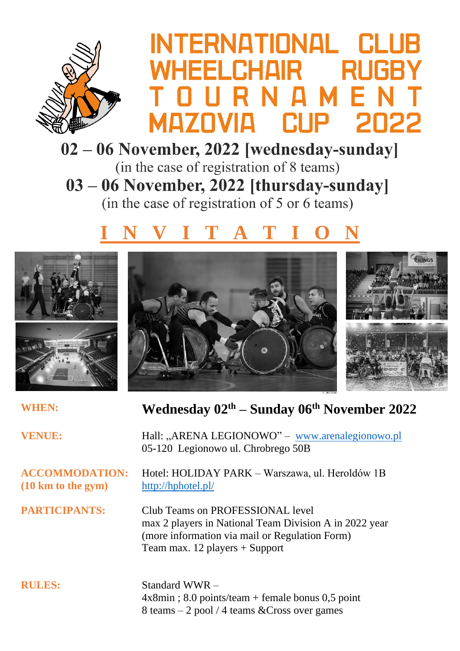

## INTERNATIONAL CL *NHEELCHAIR* RH CI IP MAZNVIA

02 – 06 November, 2022 [wednesday-sunday]

(in the case of registration of 8 teams) 03 – 06 November, 2022 [thursday-sunday] (in the case of registration of 5 or 6 teams)

## **I N V I T A T I O N**





**WHEN: Wednesday 02th – Sunday 06th November 2022**

**VENUE:** Hall: "ARENA LEGIONOWO" – [www.arenalegionowo.pl](http://www.arenalegionowo.pl/)

**(10 km to the gym)** <http://hphotel.pl/>

**ACCOMMODATION:** Hotel: HOLIDAY PARK – Warszawa, ul. Heroldów 1B

**PARTICIPANTS:** Club Teams on PROFESSIONAL level max 2 players in National Team Division A in 2022 year (more information via mail or Regulation Form) Team max. 12 players + Support

05-120 Legionowo ul. Chrobrego 50B

**RULES:** Standard WWR – 4x8min ; 8.0 points/team + female bonus 0,5 point 8 teams – 2 pool / 4 teams &Cross over games